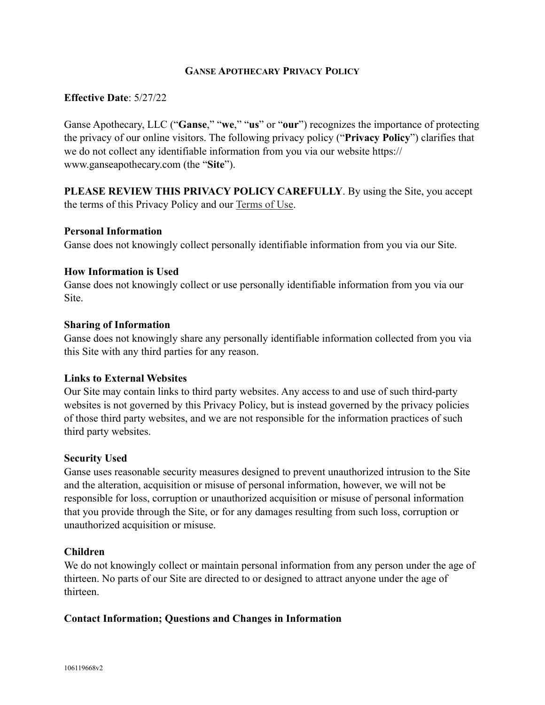## **GANSE APOTHECARY PRIVACY POLICY**

### **Effective Date**: 5/27/22

Ganse Apothecary, LLC ("**Ganse**," "**we**," "**us**" or "**our**") recognizes the importance of protecting the privacy of our online visitors. The following privacy policy ("**Privacy Policy**") clarifies that we do not collect any identifiable information from you via our website https:// www.ganseapothecary.com (the "**Site**").

**PLEASE REVIEW THIS PRIVACY POLICY CAREFULLY**. By using the Site, you accept the terms of this Privacy Policy and our [Terms of Use.](https://www.ganseapothecary.com/pdfs/Ganse-Apothecary-Terms-Of-Use.pdf)

### **Personal Information**

Ganse does not knowingly collect personally identifiable information from you via our Site.

### **How Information is Used**

Ganse does not knowingly collect or use personally identifiable information from you via our Site.

#### **Sharing of Information**

Ganse does not knowingly share any personally identifiable information collected from you via this Site with any third parties for any reason.

#### **Links to External Websites**

Our Site may contain links to third party websites. Any access to and use of such third-party websites is not governed by this Privacy Policy, but is instead governed by the privacy policies of those third party websites, and we are not responsible for the information practices of such third party websites.

#### **Security Used**

Ganse uses reasonable security measures designed to prevent unauthorized intrusion to the Site and the alteration, acquisition or misuse of personal information, however, we will not be responsible for loss, corruption or unauthorized acquisition or misuse of personal information that you provide through the Site, or for any damages resulting from such loss, corruption or unauthorized acquisition or misuse.

#### **Children**

We do not knowingly collect or maintain personal information from any person under the age of thirteen. No parts of our Site are directed to or designed to attract anyone under the age of thirteen.

### **Contact Information; Questions and Changes in Information**